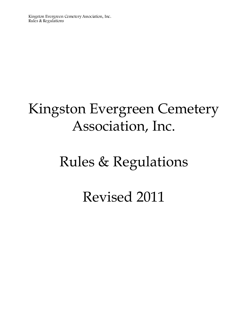# Kingston Evergreen Cemetery Association, Inc.

# Rules & Regulations

Revised 2011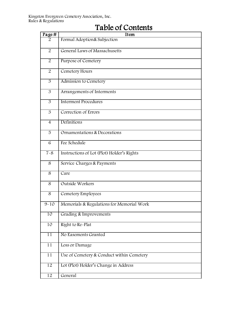| Page#           | Item                                       |
|-----------------|--------------------------------------------|
| $\overline{2}$  | Formal Adoption & Subjection               |
| 2               | General Laws of Massachusetts              |
| $\overline{2}$  | <b>Purpose of Cemetery</b>                 |
| 2               | Cemetery Hours                             |
| $\overline{3}$  | Admission to Cemetery                      |
| 3               | Arrangements of Interments                 |
| $\overline{3}$  | <b>Interment Procedures</b>                |
| 3               | Correction of Errors                       |
| $\overline{4}$  | Definitions                                |
| 5               | Ornamentations & Decorations               |
| $\overline{6}$  | Fee Schedule                               |
| $7 - 8$         | Instructions of Lot (Plot) Holder's Rights |
| 8               | Service Charges & Payments                 |
| $\overline{8}$  | Care                                       |
| 8               | <b>Outside Workers</b>                     |
| $\overline{8}$  | Cemetery Employees                         |
| $9 - 10$        | Memorials & Regulations for Memorial Work  |
| 10              | Grading & Improvements                     |
| $\overline{10}$ | Right to Re-Plat                           |
| 11              | No Easements Granted                       |
| 11              | Loss or Damage                             |
| 11              | Use of Cemetery & Conduct within Cemetery  |
| $\overline{12}$ | Lot (Plot) Holder's Change in Address      |
| 12              | General                                    |

# Table of Contents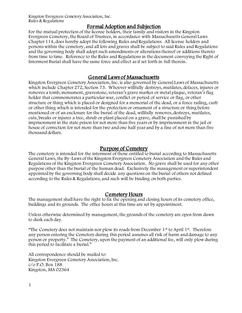# Formal Adoption and Subjection

For the mutual protection of the license holders, their family and visitors in the Kingston Evergreen Cemetery, the Board of Trustees, in accordance with Massachusetts General Laws Chapter 114, does hereby adopt the following Rules and Regulations. All license holders and persons within the cemetery, and all lots and graves shall be subject to said Rules and Regulations and the governing body shall adopt such amendments or alterations thereof or additions thereto from time to time. Reference to the Rules and Regulations in the document conveying the Right of Interment Burial shall have the same force and effect as if set forth in full therein.

### General Laws of Massachusetts

Kingston Evergreen Cemetery Association, Inc. is also governed by General Laws of Massachusetts which include Chapter 272, Section 73. Whoever willfully destroys, mutilates, defaces, injures or removes a tomb, monument, gravestone, veteran's grave marker or metal plaque, veteran's flag holder that commemorates a particular war, conflict or period of service or flag, or other structure or thing which is placed or designed for a memorial of the dead, or a fence railing, curb or other thing which is intended for the protection or ornament of a structure or thing before mentioned or of an enclosure for the burial of the dead, willfully removes, destroys, mutilates, cuts, breaks or injures a tree, shrub or plant placed on a grave, shall be punished by imprisonment in the state prison for not more than five years or by imprisonment in the jail or house of correction for not more than two and one half year and by a fine of not more than five thousand dollars.

### Purpose of Cemetery

The cemetery is intended for the interment of those entitled to burial according to Massachusetts General Laws, the By-Laws of the Kingston Evergreen Cemetery Association and the Rules and Regulations of the Kingston Evergreen Cemetery Association. No grave shall be used for any other purpose other than the burial of the human dead. Exclusively the management or superintendent appointed by the governing body shall decide any questions on the burial of others not defined according to the Rules & Regulations, and such will be binding on both parties.

#### Cemetery Hours

The management shall have the right to fix the opening and closing hours of its cemetery office, buildings and its grounds. The office hours at this time are set by appointment.

Unless otherwise determined by management, the grounds of the cemetery are open from dawn to dusk each day.

"The Cemetery does not maintain nor plow its roads from December  $1<sup>st</sup>$  to April  $1<sup>st</sup>$ . Therefore any person entering the Cemetery during this period assumes all risk of harm and damage to any person or property." The Cemetery, upon the payment of an additional fee, will only plow during this period to facilitate a burial."

All correspondence should be mailed to: Kingston Evergreen Cemetery Association, Inc. c/o P.O. Box 188 Kingston, MA 02364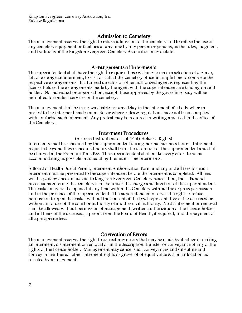# Admission to Cemetery

The management reserves the right to refuse admission to the cemetery and to refuse the use of any cemetery equipment or facilities at any time by any person or persons, as the rules, judgment, and traditions of the Kingston Evergreen Cemetery Association may dictate.

## Arrangements of Interments

The superintendent shall have the right to require those wishing to make a selection of a grave, lot, or arrange an interment, to visit or call at the cemetery office in ample time to complete the respective arrangements. If a funeral director or other authorized agent is representing the license holder, the arrangements made by the agent with the superintendent are binding on said holder. No individual or organization, except those approved by the governing body will be permitted to conduct services in the cemetery.

The management shall be in no way liable for any delay in the interment of a body where a protest to the interment has been made, or where rules & regulations have not been complied with, or forbid such interment. Any protest may be required in writing and filed in the office of the Cemetery.

### Interment Procedures

(Also see Instructions of Lot (Plot) Holder's Rights)

Interments shall be scheduled by the superintendent during normal business hours. Interments requested beyond these scheduled hours shall be at the discretion of the superintendent and shall be charged at the Premium Time Fee. The superintendent shall make every effort to be as accommodating as possible in scheduling Premium Time interments.

A Board of Health Burial Permit, Interment Authorization Form and any and all fees for each interment must be presented to the superintendent before the interment is completed. All fees will be paid by check made out to Kingston Evergreen Cemetery Association, Inc... Funeral processions entering the cemetery shall be under the charge and direction of the superintendent. The casket may not be opened at any time within the Cemetery without the express permission and in the presence of the superintendent. The superintendent reserves the right to refuse permission to open the casket without the consent of the legal representative of the deceased or without an order of the court or authority of another civil authority. No disinterment or removal shall be allowed without permission of management, written authorization of the license holder and all heirs of the deceased, a permit from the Board of Health, if required, and the payment of all appropriate fees.

# Correction of Errors

The management reserves the right to correct any errors that may be made by it either in making an interment, disinterment or removal or in the description, transfer or conveyance of any of the rights of the license holder. Management may cancel such conveyances and substitute and convey in lieu thereof other interment rights or grave lot of equal value & similar location as selected by management.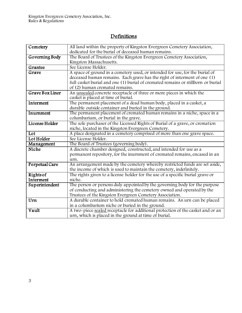# **Definitions**

| Cemetery        | All land within the property of Kingston Evergreen Cemetery Association,         |
|-----------------|----------------------------------------------------------------------------------|
|                 | dedicated for the burial of deceased human remains.                              |
| Governing Body  | The Board of Trustees of the Kingston Evergreen Cemetery Association,            |
|                 | Kingston Massachusetts.                                                          |
| Grantee         | See License Holder.                                                              |
| Grave           | A space of ground in a cemetery used, or intended for use, for the burial of     |
|                 | deceased human remains. Each grave has the right of interment of one (1)         |
|                 | full casket burial and one (1) burial of cremated remains or stillborn or burial |
|                 | of (2) human cremated remains.                                                   |
| Grave Box Liner | An unsealed concrete receptacle of three or more pieces in which the             |
|                 | casket is placed at time of burial.                                              |
| Interment       | The permanent placement of a dead human body, placed in a casket, a              |
|                 | durable outside container and buried in the ground.                              |
| Inurnment       | The permanent placement of cremated human remains in a niche, space in a         |
|                 | columbarium, or burial in the grave.                                             |
| License Holder  | The sole purchaser of the Licensed Rights of Burial of a grave, or cremation     |
|                 | niche, located in the Kingston Evergreen Cemetery.                               |
| Lot             | A place designated in a cemetery comprised of more than one grave space.         |
| Lot Holder      | See License Holder.                                                              |
| Management      | The Board of Trustees (governing body).                                          |
| Niche           | A discrete chamber designed, constructed, and intended for use as a              |
|                 | permanent repository, for the inurnment of cremated remains, encased in an       |
|                 | urn.                                                                             |
| Perpetual Care  | An arrangement made by the cemetery whereby restricted funds are set aside,      |
|                 | the income of which is used to maintain the cemetery, indefinitely.              |
| Rights of       | The rights given to a license holder for the use of a specific burial grave or   |
| Interment       | niche.                                                                           |
| Superintendent  | The person or persons duly appointed by the governing body for the purpose       |
|                 | of conducting and administering the cemetery owned and operated by the           |
|                 | Trustees of the Kingston Evergreen Cemetery Association.                         |
| Urn             | A durable container to hold cremated human remains. An urn can be placed         |
|                 | in a columbarium niche or buried in the ground.                                  |
| Vault           | A two-piece sealed receptacle for additional protection of the casket and or an  |
|                 | urn, which is placed in the ground at time of burial.                            |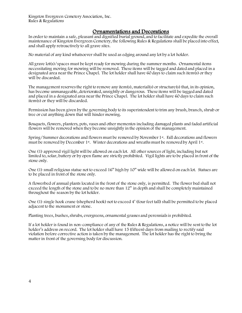#### Ornamentations and Decorations

In order to maintain a safe, pleasant and dignified burial ground, and to facilitate and expedite the overall maintenance of Kingston Evergreen Cemetery, the following Rules & Regulations shall be placed into effect, and shall apply retroactively to all grave sites.

No material of any kind whatsoever shall be used as edging around any lot by a lot holder.

All grave lot(s)/spaces must be kept ready for mowing during the summer months. Ornamental items necessitating moving for mowing will be removed. These items will be tagged and dated and placed in a designated area near the Prince Chapel. The lot holder shall have 60 days to claim such item(s) or they will be discarded.

The management reserves the right to remove any item(s), material(s) or structure(s) that, in its opinion, has become unmanageable, deteriorated, unsightly or dangerous. These items will be tagged and dated and placed in a designated area near the Prince Chapel. The lot holder shall have 60 days to claim such item(s) or they will be discarded.

Permission has been given by the governing body to its superintendent to trim any brush, branch, shrub or tree or cut anything down that will hinder mowing.

Bouquets, flowers, planters, pots, vases and other mementos including damaged plants and faded artificial flowers will be removed when they become unsightly in the opinion of the management.

Spring/Summer decorations and flowers must be removed by November 1<sup>st</sup>. Fall decorations and flowers must be removed by December 1<sup>st</sup>. Winter decorations and wreaths must be removed by April 1<sup>st</sup>.

One (1) approved vigil light will be allowed on each lot. All other sources of light, including but not limited to, solar, battery or by open flame are strictly prohibited. Vigil lights are to be placed in front of the stone only.

One (1) small religious statue not to exceed 16" high by 10" wide will be allowed on each lot. Statues are to be placed in front of the stone only.

A flowerbed of annual plants located in the front of the stone only, is permitted. The flower bed shall not exceed the length of the stone and to be no more than 12" in depth and shall be completely maintained throughout the season by the lot holder.

One (1) single hook crane (shepherd hook) not to exceed 4' (four feet tall) shall be permitted to be placed adjacent to the monument or stone.

Planting trees, bushes, shrubs, evergreens, ornamental grasses and perennials is prohibited.

If a lot holder is found in non-compliance of any of the Rules & Regulations, a notice will be sent to the lot holder's address on record. The lot holder shall have 15 (fifteen) days from mailing to rectify said violation before corrective action is taken by the management. The lot holder has the right to bring the matter in front of the governing body for discussion.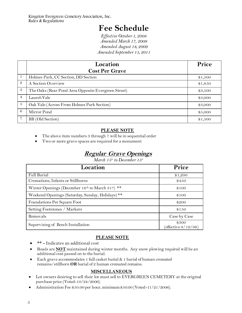# **Fee Schedule**

*Effective October 1, 2008 Amended March 17, 2009 Amended August 18, 2009 Amended September 15, 2011*

|                  | Location<br><b>Cost Per Grave</b>                   | Price   |
|------------------|-----------------------------------------------------|---------|
| 1                | Holmes Park, CC Section, DD Section                 | \$1,500 |
| $\mathcal{Q}$    | A Section Overview                                  | \$1,850 |
| 3                | The Oaks (Rear Pond Area Opposite Evergreen Street) | \$3,500 |
| $\overline{4}$   | Laurel-Vale                                         | \$3,000 |
| $\boldsymbol{5}$ | Oak Vale (Across From Holmes Park Section)          | \$3,000 |
| 6                | Mirror Pond                                         | \$5,000 |
|                  | BB (Old Section)                                    | \$1,500 |

# J **PLEASE NOTE**

- The above item numbers 3 through 7 will be in sequential order
- Two or more grave spaces are required for a monument

# **Regular Grave Openings**

*March 15th to December 15th*

| Location                                                                  | Price                           |
|---------------------------------------------------------------------------|---------------------------------|
| Full Burial                                                               | \$1,200                         |
| Cremations, Infants or Stillborns                                         | \$450                           |
| Winter Openings (December 16 <sup>th</sup> to March 31 <sup>st</sup> ) ** | \$100                           |
| Weekend Openings (Saturday, Sunday, Holidays) **                          | \$100                           |
| Foundations Per Square Foot                                               | \$200                           |
| Setting Footstones / Markers                                              | \$150                           |
| Removals                                                                  | Case by Case                    |
| Supervising of Bench Installation                                         | \$300<br>(effective $8/19/08$ ) |

#### **PLEASE NOTE**

- **\*\* -** Indicates an additional cost
- Roads are **NOT** maintained during winter months. Any snow plowing required will be an additional cost passed on to the burial.
- Each grave accommodates 1 full casket burial & 1 burial of human cremated remains/stillborn **OR**burial of 2 human cremated remains.

### **MISCELLANEOUS**

- Lot owners desiring to sell their lot must sell to EVERGREEN CEMETERY at the original purchase price (Voted-10/24/2006).
- Administration Fee \$50.00 per hour, minimum \$50.00 (Voted-11/21/2006).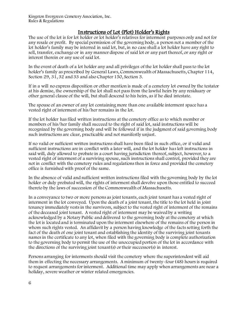# Instructions of Lot (Plot) Holder's Rights

The use of the lot is for lot holder or lot holder's relatives for interment purposes only and not for any resale or profit. By special permission of the governing body, a person not a member of the lot holder's family may be interred in said lot, but, in no case shall a lot holder have any right to sell, transfer, exchange or in any manner dispose of said lot or any part thereof, or any right or interest therein or any use of said lot.

In the event of death of a lot holder any and all privileges of the lot holder shall pass to the lot holder's family as prescribed by General Laws, Commonwealth of Massachusetts, Chapter 114, Section 29, 31, 32 and 33 and also Chapter 150, Section 3.

If in a will no express disposition or other mention is made of a cemetery lot owned by the testator at his demise, the ownership of the lot shall not pass from the lawful heirs by any residuary or other general clause of the will, but shall descend to his heirs, as if he died intestate.

The spouse of an owner of any lot containing more than one available interment space has a vested right of interment of his/her remains in the lot.

If the lot holder has filed written instructions at the cemetery office as to which member or members of his/her family shall succeed to the right of said lot, said instructions will be recognized by the governing body and will be followed if in the judgment of said governing body such instructions are clear, practicable and not manifestly unjust.

If no valid or sufficient written instructions shall have been filed in such office, or if valid and sufficient instructions are in conflict with a later will, and the lot holder has left instructions in said will, duly allowed to probate in a court having jurisdiction thereof, subject, however, to a vested right of interment of a surviving spouse, such instructions shall control, provided they are not in conflict with the cemetery rules and regulations then in force and provided the cemetery office is furnished with proof of the same.

In the absence of valid and sufficient written instructions filed with the governing body by the lot holder or duly probated will, the rights of interment shall devolve upon those entitled to succeed thereto by the laws of succession of the Commonwealth of Massachusetts.

In a conveyance to two or more persons as joint tenants, each joint tenant has a vested right of interment in the lot conveyed. Upon the death of a joint tenant, the title to the lot held in joint tenancy immediately vests in the survivors, subject to the vested right of interment of the remains of the deceased joint tenant. A vested right of interment may be waived by a writing acknowledged by a Notary Public and delivered to the governing body at the cemetery at which the lot is located and is terminated upon the interment elsewhere of the remains of the person in whom such rights vested. An affidavit by a person having knowledge of the facts setting forth the fact of the death of one joint tenant and establishing the identity of the surviving joint tenants names in the certificate to any lot, when filed with the governing body is complete authorization to the governing body to permit the use of the unoccupied portion of the lot in accordance with the directions of the surviving joint tenant(s) or their successor(s) in interest.

Persons arranging for interments should visit the cemetery where the superintendent will aid them in effecting the necessary arrangements. A minimum of twenty-four (48) hours is required to request arrangements for interment. Additional time may apply when arrangements are near a holiday, severe weather or winter related emergencies.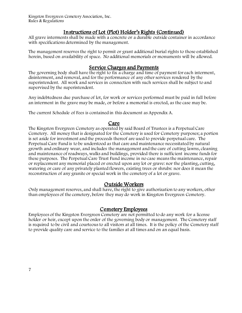## Instructions of Lot (Plot) Holder's Rights (Continued)

All grave interments shall be made with a concrete or a durable outside container in accordance with specifications determined by the management.

The management reserves the right to permit or grant additional burial rights to those established herein, based on availability of space. No additional memorials or monuments will be allowed.

## Service Charges and Payments

The governing body shall have the right to fix a charge and time of payment for each interment, disinterment, and removal, and for the performance of any other services rendered by the superintendent. All work and services in connection with such services shall be subject to and supervised by the superintendent.

Any indebtedness due purchase of lot, for work or services performed must be paid in full before an interment in the grave may be made, or before a memorial is erected, as the case may be.

The current Schedule of Fees is contained in this document as Appendix A.

# Care

The Kingston Evergreen Cemetery as operated by said Board of Trustees is a Perpetual Care Cemetery. All money that is designated for the Cemetery is used for Cemetery purposes; a portion is set aside for investment and the proceeds thereof are used to provide perpetual care. The Perpetual Care Fund is to be understood as that care and maintenance necessitated by natural growth and ordinary wear, and includes the management and the care of cutting lawns, cleaning and maintenance of roadways, walks and buildings, provided there is sufficient income funds for these purposes. The Perpetual Care Trust Fund income in no case means the maintenance, repair or replacement any memorial placed or erected upon any lot or grave: nor the planting, cutting, watering or care of any privately planted flowers, existing trees or shrubs: nor does it mean the reconstruction of any granite or special work in the cemetery of a lot or grave.

### Outside Workers

Only management reserves, and shall have, the right to give authorization to any workers, other than employees of the cemetery, before they may do work in Kingston Evergreen Cemetery.

### Cemetery Employees

Employees of the Kingston Evergreen Cemetery are not permitted to do any work for a license holder or heir, except upon the order of the governing body or management. The Cemetery staff is required to be civil and courteous to all visitors at all times. It is the policy of the Cemetery staff to provide quality care and service to the families at all times and on an equal basis.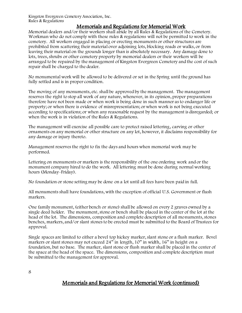# Memorials and Regulations for Memorial Work

Memorial dealers and/or their workers shall abide by all Rules & Regulations of the Cemetery. Workman who do not comply with these rules & regulations will not be permitted to work in the cemetery. All workers engaged in placing or erecting monuments or other structures are prohibited from scattering their material over adjoining lots, blocking roads or walks, or from leaving their material on the grounds longer than is absolutely necessary. Any damage done to lots, trees, shrubs or other cemetery property by memorial dealers or their workers will be arranged to be repaired by the management of Kingston Evergreen Cemetery and the cost of such repair shall be charged to the dealer.

No monumental work will be allowed to be delivered or set in the Spring until the ground has fully settled and is in proper condition.

The moving of any monuments, etc. shall be approved by the management. The management reserves the right to stop all work of any nature, whenever, in its opinion, proper preparations therefore have not been made or when work is being done in such manner as to endanger life or property; or when there is evidence of misrepresentation; or when work is not being executed according to specifications; or when any reasonable request by the management is disregarded; or when the work is in violation of the Rules & Regulations.

The management will exercise all possible care to protect raised lettering, carving or other ornaments on any memorial or other structure on any lot, however, it disclaims responsibility for any damage or injury thereto.

Management reserves the right to fix the days and hours when memorial work may be performed.

Lettering on monuments or markers is the responsibility of the one ordering work and or the monument company hired to do the work. All lettering must be done during normal working hours (Monday-Friday).

No foundation or stone setting may be done on a lot until all fees have been paid in full.

All monuments shall have foundations, with the exception of official U.S. Government or flush markers.

One family monument, (either bench or stone) shall be allowed on every 2 graves owned by a single deed holder. The monument, stone or bench shall be placed in the center of the lot at the head of the lot. The dimensions, composition and complete description of all monuments, stones benches, markers, and/or slant stones to be erected must be submitted to the Board of Trustees for approval.

Single spaces are limited to either a bevel top hickey marker, slant stone or a flush marker. Bevel markers or slant stones may not exceed 24" in length, 10" in width, 16" in height on a foundation, but no base. The marker, slant stone or flush marker shall be placed in the center of the space at the head of the space. The dimensions, composition and complete description must be submitted to the management for approval.

# Memorials and Regulations for Memorial Work (continued)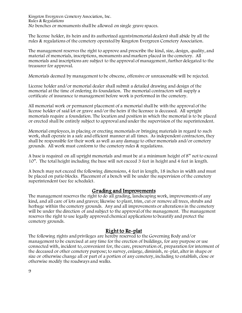Kingston Evergreen Cemetery Association, Inc. Rules & Regulations No benches or monuments shall be allowed on single grave spaces.

The license holder, its heirs and its authorized agents(memorial dealers) shall abide by all the rules & regulations of the cemetery operated by Kingston Evergreen Cemetery Association.

The management reserves the right to approve and prescribe the kind, size, design, quality, and material of memorials, inscriptions, monuments and markers placed in the cemetery. All memorials and inscriptions are subject to the approval of management, further delegated to the treasurer for approval.

Memorials deemed by management to be obscene, offensive or unreasonable will be rejected.

License holder and/or memorial dealer shall submit a detailed drawing and design of the memorial at the time of ordering its foundation. The memorial contractors will supply a certificate of insurance to management before work is performed in the cemetery.

All memorial work or permanent placement of a memorial shall be with the approval of the license holder of said lot or grave and/or the heirs if the licensee is deceased. All upright memorials require a foundation. The location and position in which the memorial is to be placed or erected shall be entirely subject to approval and under the supervision of the superintendent.

Memorial employees, in placing or erecting memorials or bringing materials in regard to such work, shall operate in a safe and efficient manner at all times. As independent contractors, they shall be responsible for their work as well as any damage to other memorials and/or cemetery grounds. All work must conform to the cemetery rules & regulations.

A base is required on all upright memorials and must be at a minimum height of 8" not to exceed 10". The total height including the base will not exceed 3 feet in height and 4 feet in length.

A bench may not exceed the following dimensions, 4 feet in length, 18 inches in width and must be placed on patio blocks. Placement of a bench will be under the supervision of the cemetery superintendent (see fee schedule).

# Grading and Improvements

The management reserves the right to do all grading, landscaping work, improvements of any kind, and all care of lots and graves; likewise to plant, trim, cut or remove all trees, shrubs and herbage within the cemetery grounds. Any and all improvements or alterations in the cemetery will be under the direction of and subject to the approval of the management. The management reserves the right to use legally approved chemical applications to beautify and protect the cemetery grounds.

# Right to Re-plat

The following rights and privileges are hereby reserved to the Governing Body and/or management to be exercised at any time for the erection of buildings, for any purpose or use connected with, incident to, convenient for, the care, preservation of, preparation for interment of the deceased or other cemetery purpose; to survey, enlarge, diminish, re-plat, alter in shape or size or otherwise change all or part of a portion of any cemetery, including to establish, close or otherwise modify the roadways and walks.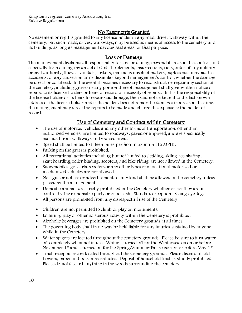# No Easements Granted

No easement or right is granted to any license holder in any road, drive, walkway within the cemetery, but such roads, drives, walkways, may be used as means of access to the cemetery and its buildings as long as management devotes said areas for that purpose.

#### Loss or Damage

The management disclaims all responsibility for loss or damage beyond its reasonable control, and especially from damage by an act of God, the elements, insurrections, riots, order of any military or civil authority, thieves, vandals, strikers, malicious mischief makers, explosions, unavoidable accidents, or any cause similar or dissimilar beyond management's control, whether the damage be direct or collateral. In the event it becomes necessary to reconstruct, or repair any section of the cemetery, including graves or any portion thereof, management shall give written notice of repairs to its license holders or heirs of record or necessity of repairs. If it is the responsibility of the license holder or its heirs to repair said damage, then said notice be sent to the last known address of the license holder and if the holder does not repair the damages in a reasonable time, the management may direct the repairs to be made and charge the expense to the holder of record.

# Use of Cemetery and Conduct within Cemetery

- The use of motorized vehicles and any other forms of transportation, other than authorized vehicles, are limited to roadways, paved or unpaved, and are specifically excluded from walkways and grassed areas.
- Speed shall be limited to fifteen miles per hour maximum (15 MPH).
- Parking on the grass is prohibited.
- All recreational activities including but not limited to sledding, skiing, ice skating, skateboarding, roller blading, scooters, and bike riding are not allowed in the Cemetery.
- Snowmobiles, go-carts, scooters or any other types of recreational motorized or mechanized vehicles are not allowed.
- No signs or notices or advertisements of any kind shall be allowed in the cemetery unless placed by the management.
- Domestic animals are strictly prohibited in the Cemetery whether or not they are in control by the responsible party or on a leash. Standard exception- Seeing eye dog.
- All persons are prohibited from any disrespectful use of the Cemetery.
- Children are not permitted to climb or play on monuments.
- Loitering, play or other boisterous activity within the Cemetery is prohibited.
- Alcoholic beverages are prohibited on the Cemetery grounds at all times.
- The governing body shall in no way be held liable for any injuries sustained by anyone while in the Cemetery.
- Water spigots are located throughout the cemetery grounds. Please be sure to turn water off completely when not in use. Water is turned off for the Winter season on or before November 1<sup>st</sup> and is turned on for the Spring/Summer/Fall season on or before May 1<sup>st</sup>.
- Trash receptacles are located throughout the Cemetery grounds. Please discard all old flowers, paper and pots in receptacles. Deposit of household trash is strictly prohibited. Please do not discard anything in the woods surrounding the cemetery.